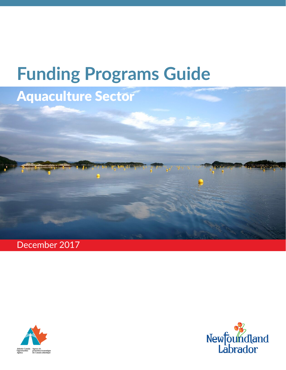# **Funding Programs Guide**

# Aquaculture Sector

December 2017



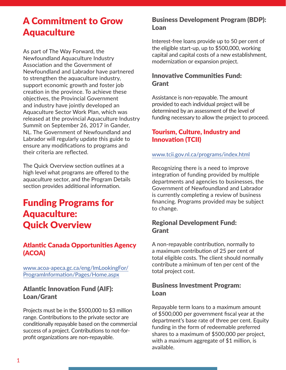# A Commitment to Grow Aquaculture

As part of The Way Forward, the Newfoundland Aquaculture Industry Association and the Government of Newfoundland and Labrador have partnered to strengthen the aquaculture industry, support economic growth and foster job creation in the province. To achieve these objectives, the Provincial Government and industry have jointly developed an Aquaculture Sector Work Plan, which was released at the provincial Aquaculture Industry Summit on September 26, 2017 in Gander, NL. The Government of Newfoundland and Labrador will regularly update this guide to ensure any modifications to programs and their criteria are reflected.

The Quick Overview section outlines at a high level what programs are offered to the aquaculture sector, and the Program Details section provides additional information.

# Funding Programs for Aquaculture: Quick Overview

# Atlantic Canada Opportunities Agency (ACOA)

[www.acoa-apeca.gc.ca/eng/ImLookingFor/](http://www.acoa-apeca.gc.ca/eng/ImLookingFor/ProgramInformation/Pages/Home.aspx) [ProgramInformation/Pages/Home.aspx](http://www.acoa-apeca.gc.ca/eng/ImLookingFor/ProgramInformation/Pages/Home.aspx)

# Atlantic Innovation Fund (AIF): Loan/Grant

Projects must be in the \$500,000 to \$3 million range. Contributions to the private sector are conditionally repayable based on the commercial success of a project. Contributions to not-forprofit organizations are non-repayable.

# Business Development Program (BDP): Loan

Interest-free loans provide up to 50 per cent of the eligible start-up, up to \$500,000, working capital and capital costs of a new establishment, modernization or expansion project.

# Innovative Communities Fund: **Grant**

Assistance is non-repayable. The amount provided to each individual project will be determined by an assessment of the level of funding necessary to allow the project to proceed.

# Tourism, Culture, Industry and Innovation (TCII)

#### [www.tcii.gov.nl.ca/programs/index.html](http://www.tcii.gov.nl.ca/programs/index.html)

Recognizing there is a need to improve integration of funding provided by multiple departments and agencies to businesses, the Government of Newfoundland and Labrador is currently completing a review of business financing. Programs provided may be subject to change.

# Regional Development Fund: Grant

A non-repayable contribution, normally to a maximum contribution of 25 per cent of total eligible costs. The client should normally contribute a minimum of ten per cent of the total project cost.

# Business Investment Program: Loan

Repayable term loans to a maximum amount of \$500,000 per government fiscal year at the department's base rate of three per cent. Equity funding in the form of redeemable preferred shares to a maximum of \$500,000 per project, with a maximum aggregate of \$1 million, is available.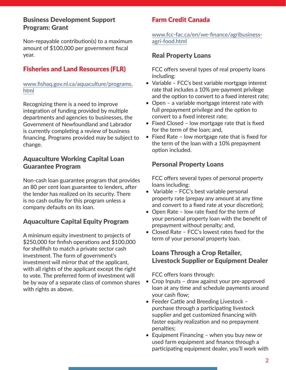# Business Development Support Program: Grant

Non-repayable contribution(s) to a maximum amount of \$100,000 per government fiscal year.

# Fisheries and Land Resources (FLR)

#### [www.fishaq.gov.nl.ca/aquaculture/programs.](http://www.fishaq.gov.nl.ca/aquaculture/programs.html) [html](http://www.fishaq.gov.nl.ca/aquaculture/programs.html)

Recognizing there is a need to improve integration of funding provided by multiple departments and agencies to businesses, the Government of Newfoundland and Labrador is currently completing a review of business financing. Programs provided may be subject to change.

# Aquaculture Working Capital Loan Guarantee Program

Non-cash loan guarantee program that provides an 80 per cent loan guarantee to lenders, after the lender has realized on its security. There is no cash outlay for this program unless a company defaults on its loan.

# Aquaculture Capital Equity Program

A minimum equity investment to projects of \$250,000 for finfish operations and \$100,000 for shellfish to match a private sector cash investment. The form of government's investment will mirror that of the applicant, with all rights of the applicant except the right to vote. The preferred form of investment will be by way of a separate class of common shares with rights as above.

# Farm Credit Canada

[www.fcc-fac.ca/en/we-finance/agribusiness](http://www.fcc-fac.ca/en/we-finance/agribusiness-agri-food.html)[agri-food.html](http://www.fcc-fac.ca/en/we-finance/agribusiness-agri-food.html)

# Real Property Loans

FCC offers several types of real property loans including:

- Variable FCC's best variable mortgage interest rate that includes a 10% pre-payment privilege and the option to convert to a fixed interest rate;
- Open a variable mortgage interest rate with full prepayment privilege and the option to convert to a fixed interest rate;
- Fixed Closed low mortgage rate that is fixed for the term of the loan; and,
- Fixed Rate low mortgage rate that is fixed for the term of the loan with a 10% prepayment option included.

# Personal Property Loans

FCC offers several types of personal property loans including:

- Variable FCC's best variable personal property rate (prepay any amount at any time and convert to a fixed rate at your discretion);
- Open Rate low rate fixed for the term of your personal property loan with the benefit of prepayment without penalty; and,
- Closed Rate FCC's lowest rates fixed for the term of your personal property loan.

# Loans Through a Crop Retailer, Livestock Supplier or Equipment Dealer

FCC offers loans through:

- Crop Inputs draw against your pre-approved loan at any time and schedule payments around your cash flow;
- Feeder Cattle and Breeding Livestock purchase through a participating livestock supplier and get customized financing with faster equity realization and no prepayment penalties;
- Equipment Financing when you buy new or used farm equipment and finance through a participating equipment dealer, you'll work with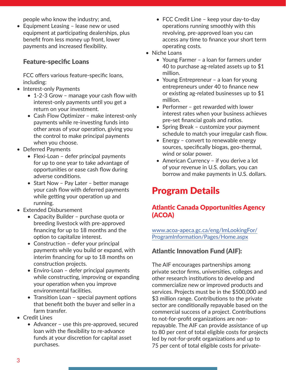people who know the industry; and,

• Equipment Leasing – lease new or used equipment at participating dealerships, plus benefit from less money up front, lower payments and increased flexibility.

# Feature-specific Loans

FCC offers various feature-specific loans, including:

- Interest-only Payments
	- 1-2-3 Grow manage your cash flow with interest-only payments until you get a return on your investment.
	- Cash Flow Optimizer make interest-only payments while re-investing funds into other areas of your operation, giving you the control to make principal payments when you choose.
- Deferred Payments
	- Flexi-Loan defer principal payments for up to one year to take advantage of opportunities or ease cash flow during adverse conditions.
	- Start Now Pay Later better manage your cash flow with deferred payments while getting your operation up and running.
- Extended Disbursement
	- Capacity Builder purchase quota or breeding livestock with pre-approved financing for up to 18 months and the option to capitalize interest.
	- Construction defer your principal payments while you build or expand, with interim financing for up to 18 months on construction projects.
	- Enviro-Loan defer principal payments while constructing, improving or expanding your operation when you improve environmental facilities.
	- Transition Loan special payment options that benefit both the buyer and seller in a farm transfer.
- Credit Lines
	- Advancer use this pre-approved, secured loan with the flexibility to re-advance funds at your discretion for capital asset purchases.
- FCC Credit Line keep your day-to-day operations running smoothly with this revolving, pre-approved loan you can access any time to finance your short term operating costs.
- Niche Loans
	- Young Farmer a loan for farmers under 40 to purchase ag-related assets up to \$1 million.
	- Young Entrepreneur a loan for young entrepreneurs under 40 to finance new or existing ag-related businesses up to \$1 million.
	- Performer get rewarded with lower interest rates when your business achieves pre-set financial goals and ratios.
	- Spring Break customize your payment schedule to match your irregular cash flow.
	- Energy convert to renewable energy sources, specifically biogas, geo-thermal, wind or solar power.
	- American Currency if you derive a lot of your revenue in U.S. dollars, you can borrow and make payments in U.S. dollars.

# Program Details

# Atlantic Canada Opportunities Agency (ACOA)

[www.acoa-apeca.gc.ca/eng/ImLookingFor/](http://www.acoa-apeca.gc.ca/eng/ImLookingFor/ProgramInformation/Pages/Home.aspx) [ProgramInformation/Pages/Home.aspx](http://www.acoa-apeca.gc.ca/eng/ImLookingFor/ProgramInformation/Pages/Home.aspx)

# Atlantic Innovation Fund (AIF):

The AIF encourages partnerships among private sector firms, universities, colleges and other research institutions to develop and commercialize new or improved products and services. Projects must be in the \$500,000 and \$3 million range. Contributions to the private sector are conditionally repayable based on the commercial success of a project. Contributions to not-for-profit organizations are nonrepayable. The AIF can provide assistance of up to 80 per cent of total eligible costs for projects led by not-for-profit organizations and up to 75 per cent of total eligible costs for private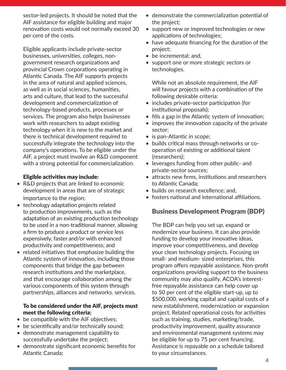sector-led projects. It should be noted that the AIF assistance for eligible building and major renovation costs would not normally exceed 30 per cent of the costs.

Eligible applicants include private-sector businesses, universities, colleges, nongovernment research organizations and provincial Crown corporations operating in Atlantic Canada. The AIF supports projects in the area of natural and applied sciences, as well as in social sciences, humanities, arts and culture, that lead to the successful development and commercialization of technology-based products, processes or services. The program also helps businesses work with researchers to adapt existing technology when it is new to the market and there is technical development required to successfully integrate the technology into the company's operations. To be eligible under the AIF, a project must involve an R&D component with a strong potential for commercialization.

#### Eligible activities may include:

- R&D projects that are linked to economic development in areas that are of strategic importance to the region;
- technology adaptation projects related to production improvements, such as the adaptation of an existing production technology to be used in a non-traditional manner, allowing a firm to produce a product or service less expensively, faster and/or with enhanced productivity and competitiveness; and
- related initiatives that emphasize building the Atlantic system of innovation, including those components that bridge the gap between research institutions and the marketplace, and that encourage collaboration among the various components of this system through partnerships, alliances and networks. services.

#### To be considered under the AIF, projects must meet the following criteria:

- be compatible with the AIF objectives;
- be scientifically and/or technically sound;
- demonstrate management capability to successfully undertake the project;
- demonstrate significant economic benefits for Atlantic Canada;
- demonstrate the commercialization potential of the project;
- support new or improved technologies or new applications of technologies;
- have adequate financing for the duration of the project;
- be incremental; and,
- support one or more strategic sectors or technologies.

While not an absolute requirement, the AIF will favour projects with a combination of the following desirable criteria:

- includes private-sector participation (for institutional proposals);
- fills a gap in the Atlantic system of innovation;
- improves the innovation capacity of the private sector;
- is pan-Atlantic in scope;
- builds critical mass through networks or cooperation of existing or additional talent (researchers);
- leverages funding from other public- and private-sector sources;
- attracts new firms, institutions and researchers to Atlantic Canada;
- builds on research excellence; and,
- fosters national and international affiliations.

# Business Development Program (BDP)

The BDP can help you set up, expand or modernize your business. It can also provide funding to develop your innovative ideas, improve your competitiveness, and develop your clean technology projects. Focusing on small- and medium- sized enterprises, this program offers repayable assistance. Non-profit organizations providing support to the business community may also qualify. ACOA's interestfree repayable assistance can help cover up to 50 per cent of the eligible start-up, up to \$500,000, working capital and capital costs of a new establishment, modernization or expansion project. Related operational costs for activities such as training, studies, marketing/trade, productivity improvement, quality assurance and environmental management systems may be eligible for up to 75 per cent financing. Assistance is repayable on a schedule tailored to your circumstances.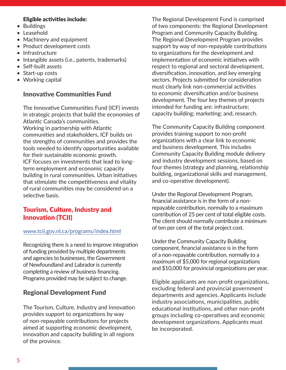#### Eligible activities include:

- Buildings
- Leasehold
- Machinery and equipment
- Product development costs
- Infrastructure
- Intangible assets (i.e., patents, trademarks)
- Self-built assets
- Start-up costs
- Working capital

# Innovative Communities Fund

The Innovative Communities Fund (ICF) invests in strategic projects that build the economies of Atlantic Canada's communities. Working in partnership with Atlantic communities and stakeholders, ICF builds on the strengths of communities and provides the tools needed to identify opportunities available for their sustainable economic growth. ICF focuses on investments that lead to longterm employment and economic capacity building in rural communities. Urban initiatives that stimulate the competitiveness and vitality of rural communities may be considered on a selective basis.

# Tourism, Culture, Industry and Innovation (TCII)

#### [www.tcii.gov.nl.ca/programs/index.html](http://www.tcii.gov.nl.ca/programs/index.html)

Recognizing there is a need to improve integration of funding provided by multiple departments and agencies to businesses, the Government of Newfoundland and Labrador is currently completing a review of business financing. Programs provided may be subject to change.

# Regional Development Fund

The Tourism, Culture, Industry and Innovation provides support to organizations by way of non-repayable contributions for projects aimed at supporting economic development, innovation and capacity building in all regions of the province.

The Regional Development Fund is comprised of two components: the Regional Development Program and Community Capacity Building. The Regional Development Program provides support by way of non-repayable contributions to organizations for the development and implementation of economic initiatives with respect to regional and sectoral development, diversification, innovation, and key emerging sectors. Projects submitted for consideration must clearly link non-commercial activities to economic diversification and/or business development. The four key themes of projects intended for funding are: infrastructure; capacity building; marketing; and, research.

The Community Capacity Building component provides training support to non-profit organizations with a clear link to economic and business development. This includes Community Capacity Building module delivery and industry development sessions, based on four themes (strategy and planning, relationship building, organizational skills and management, and co-operative development).

Under the Regional Development Program, financial assistance is in the form of a nonrepayable contribution, normally to a maximum contribution of 25 per cent of total eligible costs. The client should normally contribute a minimum of ten per cent of the total project cost.

Under the Community Capacity Building component, financial assistance is in the form of a non-repayable contribution, normally to a maximum of \$5,000 for regional organizations and \$10,000 for provincial organizations per year.

Eligible applicants are non-profit organizations, excluding federal and provincial government departments and agencies. Applicants include industry associations, municipalities, public educational institutions, and other non-profit groups including co-operatives and economic development organizations. Applicants must be incorporated.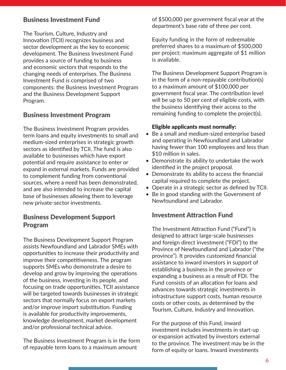# Business Investment Fund

The Tourism, Culture, Industry and Innovation (TCII) recognizes business and sector development as the key to economic development. The Business Investment Fund provides a source of funding to business and economic sectors that responds to the changing needs of enterprises. The Business Investment Fund is comprised of two components: the Business Investment Program and the Business Development Support Program.

# Business Investment Program

The Business Investment Program provides term loans and equity investments to small and medium-sized enterprises in strategic growth sectors as identified by TCII. The fund is also available to businesses which have export potential and require assistance to enter or expand in external markets. Funds are provided to complement funding from conventional sources, where a need has been demonstrated, and are also intended to increase the capital base of businesses allowing them to leverage new private-sector investments.

# Business Development Support Program

The Business Development Support Program assists Newfoundland and Labrador SMEs with opportunities to increase their productivity and improve their competitiveness. The program supports SMEs who demonstrate a desire to develop and grow by improving the operations of the business, investing in its people, and focusing on trade opportunities. TCII assistance will be targeted towards businesses in strategic sectors that normally focus on export markets and/or improve import substitution. Funding is available for productivity improvements, knowledge development, market development and/or professional technical advice.

The Business Investment Program is in the form of repayable term loans to a maximum amount

of \$500,000 per government fiscal year at the department's base rate of three per cent.

Equity funding in the form of redeemable preferred shares to a maximum of \$500,000 per project; maximum aggregate of \$1 million is available.

The Business Development Support Program is in the form of a non-repayable contribution(s) to a maximum amount of \$100,000 per government fiscal year. The contribution level will be up to 50 per cent of eligible costs, with the business identifying their access to the remaining funding to complete the project(s).

#### Eligible applicants must normally:

- Be a small and medium-sized enterprise based and operating in Newfoundland and Labrador having fewer than 100 employees and less than \$10 million in sales.
- Demonstrate its ability to undertake the work identified in the project proposal.
- Demonstrate its ability to access the financial capital required to complete the project.
- Operate in a strategic sector as defined by TCII.
- Be in good standing with the Government of Newfoundland and Labrador.

#### Investment Attraction Fund

The Investment Attraction Fund ("Fund") is designed to attract large-scale businesses and foreign direct investment ("FDI") to the Province of Newfoundland and Labrador ("the province"). It provides customized financial assistance to inward investors in support of establishing a business in the province or expanding a business as a result of FDI. The Fund consists of an allocation for loans and advances towards strategic investments in infrastructure support costs, human resource costs or other costs, as determined by the Tourism, Culture, Industry and Innovation.

For the purpose of this Fund, inward investment includes investments in start-up or expansion activated by investors external to the province. The investment may be in the form of equity or loans. Inward investments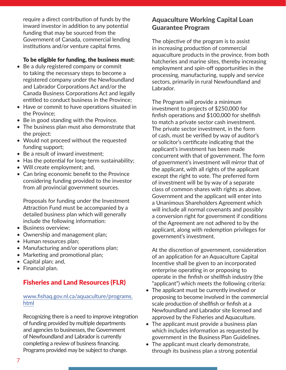require a direct contribution of funds by the inward investor in addition to any potential funding that may be sourced from the Government of Canada, commercial lending institutions and/or venture capital firms.

#### To be eligible for funding, the business must:

- Be a duly registered company or commit to taking the necessary steps to become a registered company under the Newfoundland and Labrador Corporations Act and/or the Canada Business Corporations Act and legally entitled to conduct business in the Province;
- Have or commit to have operations situated in the Province;
- Be in good standing with the Province.
- The business plan must also demonstrate that the project:
- Would not proceed without the requested funding support;
- Be a result of inward investment;
- Has the potential for long-term sustainability;
- Will create employment; and,
- Can bring economic benefit to the Province considering funding provided to the investor from all provincial government sources.

Proposals for funding under the Investment Attraction Fund must be accompanied by a detailed business plan which will generally include the following information:

- Business overview;
- Ownership and management plan;
- Human resources plan;
- Manufacturing and/or operations plan;
- Marketing and promotional plan;
- Capital plan; and,
- Financial plan.

# Fisheries and Land Resources (FLR)

#### [www.fishaq.gov.nl.ca/aquaculture/programs.](http://www.fishaq.gov.nl.ca/aquaculture/programs.html) [html](http://www.fishaq.gov.nl.ca/aquaculture/programs.html)

Recognizing there is a need to improve integration of funding provided by multiple departments and agencies to businesses, the Government of Newfoundland and Labrador is currently completing a review of business financing. Programs provided may be subject to change.

# Aquaculture Working Capital Loan Guarantee Program

The objective of the program is to assist in increasing production of commercial aquaculture products in the province, from both hatcheries and marine sites, thereby increasing employment and spin-off opportunities in the processing, manufacturing, supply and service sectors, primarily in rural Newfoundland and Labrador.

The Program will provide a minimum investment to projects of \$250,000 for finfish operations and \$100,000 for shellfish to match a private sector cash investment. The private sector investment, in the form of cash, must be verified by way of auditor's or solicitor's certificate indicating that the applicant's investment has been made concurrent with that of government. The form of government's investment will mirror that of the applicant, with all rights of the applicant except the right to vote. The preferred form of investment will be by way of a separate class of common shares with rights as above. Government and the applicant will enter into a Unanimous Shareholders Agreement which will include all normal covenants and possibly a conversion right for government if conditions of the Agreement are not adhered to by the applicant, along with redemption privileges for government's investment.

At the discretion of government, consideration of an application for an Aquaculture Capital Incentive shall be given to an incorporated enterprise operating in or proposing to operate in the finfish or shellfish industry (the "applicant") which meets the following criteria:

- The applicant must be currently involved or proposing to become involved in the commercial scale production of shellfish or finfish at a Newfoundland and Labrador site licensed and approved by the Fisheries and Aquaculture.
- The applicant must provide a business plan which includes information as requested by government in the Business Plan Guidelines.
- The applicant must clearly demonstrate, through its business plan a strong potential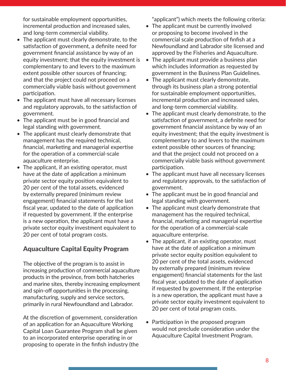for sustainable employment opportunities, incremental production and increased sales, and long-term commercial viability.

- The applicant must clearly demonstrate, to the satisfaction of government, a definite need for government financial assistance by way of an equity investment; that the equity investment is complementary to and levers to the maximum extent possible other sources of financing; and that the project could not proceed on a commercially viable basis without government participation.
- The applicant must have all necessary licenses and regulatory approvals, to the satisfaction of government.
- The applicant must be in good financial and legal standing with government.
- The applicant must clearly demonstrate that management has the required technical, financial, marketing and managerial expertise for the operation of a commercial-scale aquaculture enterprise.
- The applicant, if an existing operator, must have at the date of application a minimum private sector equity position equivalent to 20 per cent of the total assets, evidenced by externally prepared (minimum review engagement) financial statements for the last fiscal year, updated to the date of application if requested by government. If the enterprise is a new operation, the applicant must have a private sector equity investment equivalent to 20 per cent of total program costs.

# Aquaculture Capital Equity Program

The objective of the program is to assist in increasing production of commercial aquaculture products in the province, from both hatcheries and marine sites, thereby increasing employment and spin-off opportunities in the processing, manufacturing, supply and service sectors, primarily in rural Newfoundland and Labrador.

At the discretion of government, consideration of an application for an Aquaculture Working Capital Loan Guarantee Program shall be given to an incorporated enterprise operating in or proposing to operate in the finfish industry (the "applicant") which meets the following criteria:

- The applicant must be currently involved or proposing to become involved in the commercial scale production of finfish at a Newfoundland and Labrador site licensed and approved by the Fisheries and Aquaculture.
- The applicant must provide a business plan which includes information as requested by government in the Business Plan Guidelines.
- The applicant must clearly demonstrate, through its business plan a strong potential for sustainable employment opportunities, incremental production and increased sales, and long-term commercial viability.
- The applicant must clearly demonstrate, to the satisfaction of government, a definite need for government financial assistance by way of an equity investment; that the equity investment is complementary to and levers to the maximum extent possible other sources of financing; and that the project could not proceed on a commercially viable basis without government participation.
- The applicant must have all necessary licenses and regulatory approvals, to the satisfaction of government.
- The applicant must be in good financial and legal standing with government.
- The applicant must clearly demonstrate that management has the required technical, financial, marketing and managerial expertise for the operation of a commercial-scale aquaculture enterprise.
- The applicant, if an existing operator, must have at the date of application a minimum private sector equity position equivalent to 20 per cent of the total assets, evidenced by externally prepared (minimum review engagement) financial statements for the last fiscal year, updated to the date of application if requested by government. If the enterprise is a new operation, the applicant must have a private sector equity investment equivalent to 20 per cent of total program costs.
- Participation in the proposed program would not preclude consideration under the Aquaculture Capital Investment Program.